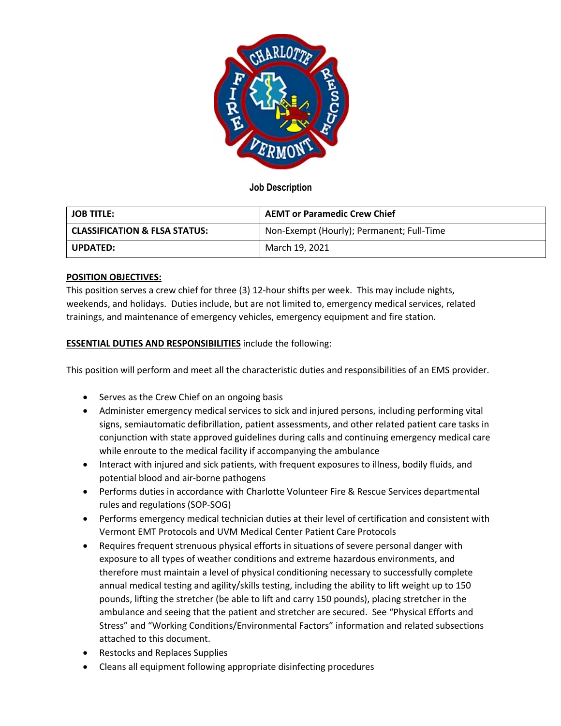

# **Job Description**

| <b>JOB TITLE:</b>                        | <b>AEMT or Paramedic Crew Chief</b>       |  |
|------------------------------------------|-------------------------------------------|--|
| <b>CLASSIFICATION &amp; FLSA STATUS:</b> | Non-Exempt (Hourly); Permanent; Full-Time |  |
| <b>UPDATED:</b>                          | March 19, 2021                            |  |

## **POSITION OBJECTIVES:**

This position serves a crew chief for three (3) 12-hour shifts per week. This may include nights, weekends, and holidays. Duties include, but are not limited to, emergency medical services, related trainings, and maintenance of emergency vehicles, emergency equipment and fire station.

# **ESSENTIAL DUTIES AND RESPONSIBILITIES** include the following:

This position will perform and meet all the characteristic duties and responsibilities of an EMS provider.

- Serves as the Crew Chief on an ongoing basis
- Administer emergency medical services to sick and injured persons, including performing vital signs, semiautomatic defibrillation, patient assessments, and other related patient care tasks in conjunction with state approved guidelines during calls and continuing emergency medical care while enroute to the medical facility if accompanying the ambulance
- Interact with injured and sick patients, with frequent exposures to illness, bodily fluids, and potential blood and air-borne pathogens
- Performs duties in accordance with Charlotte Volunteer Fire & Rescue Services departmental rules and regulations (SOP-SOG)
- Performs emergency medical technician duties at their level of certification and consistent with Vermont EMT Protocols and UVM Medical Center Patient Care Protocols
- Requires frequent strenuous physical efforts in situations of severe personal danger with exposure to all types of weather conditions and extreme hazardous environments, and therefore must maintain a level of physical conditioning necessary to successfully complete annual medical testing and agility/skills testing, including the ability to lift weight up to 150 pounds, lifting the stretcher (be able to lift and carry 150 pounds), placing stretcher in the ambulance and seeing that the patient and stretcher are secured. See "Physical Efforts and Stress" and "Working Conditions/Environmental Factors" information and related subsections attached to this document.
- Restocks and Replaces Supplies
- Cleans all equipment following appropriate disinfecting procedures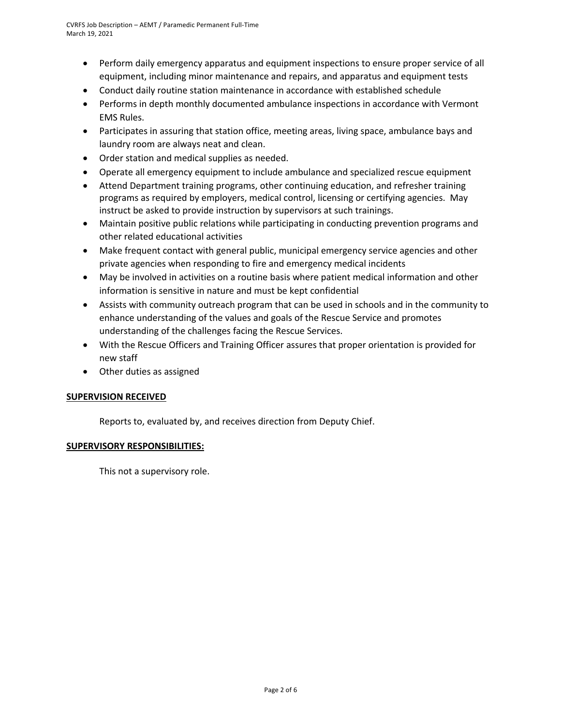- Perform daily emergency apparatus and equipment inspections to ensure proper service of all equipment, including minor maintenance and repairs, and apparatus and equipment tests
- Conduct daily routine station maintenance in accordance with established schedule
- Performs in depth monthly documented ambulance inspections in accordance with Vermont EMS Rules.
- Participates in assuring that station office, meeting areas, living space, ambulance bays and laundry room are always neat and clean.
- Order station and medical supplies as needed.
- Operate all emergency equipment to include ambulance and specialized rescue equipment
- Attend Department training programs, other continuing education, and refresher training programs as required by employers, medical control, licensing or certifying agencies. May instruct be asked to provide instruction by supervisors at such trainings.
- Maintain positive public relations while participating in conducting prevention programs and other related educational activities
- Make frequent contact with general public, municipal emergency service agencies and other private agencies when responding to fire and emergency medical incidents
- May be involved in activities on a routine basis where patient medical information and other information is sensitive in nature and must be kept confidential
- Assists with community outreach program that can be used in schools and in the community to enhance understanding of the values and goals of the Rescue Service and promotes understanding of the challenges facing the Rescue Services.
- With the Rescue Officers and Training Officer assures that proper orientation is provided for new staff
- Other duties as assigned

## **SUPERVISION RECEIVED**

Reports to, evaluated by, and receives direction from Deputy Chief.

### **SUPERVISORY RESPONSIBILITIES:**

This not a supervisory role.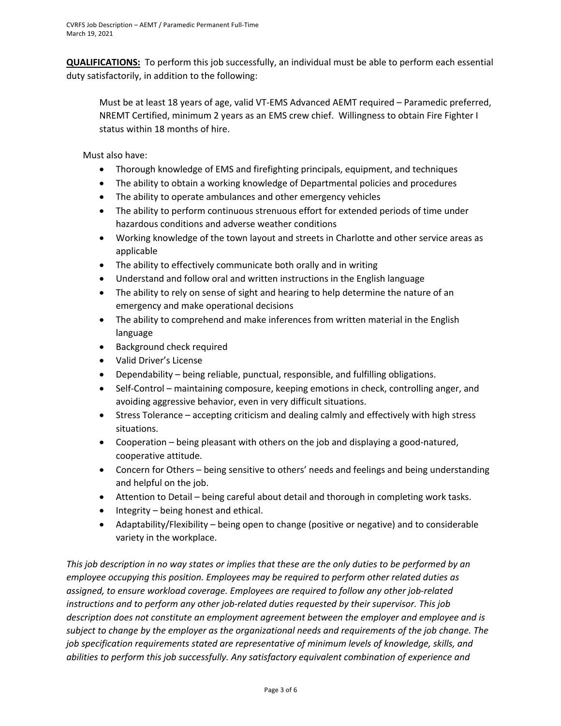**QUALIFICATIONS:** To perform this job successfully, an individual must be able to perform each essential duty satisfactorily, in addition to the following:

Must be at least 18 years of age, valid VT-EMS Advanced AEMT required – Paramedic preferred, NREMT Certified, minimum 2 years as an EMS crew chief. Willingness to obtain Fire Fighter I status within 18 months of hire.

Must also have:

- Thorough knowledge of EMS and firefighting principals, equipment, and techniques
- The ability to obtain a working knowledge of Departmental policies and procedures
- The ability to operate ambulances and other emergency vehicles
- The ability to perform continuous strenuous effort for extended periods of time under hazardous conditions and adverse weather conditions
- Working knowledge of the town layout and streets in Charlotte and other service areas as applicable
- The ability to effectively communicate both orally and in writing
- Understand and follow oral and written instructions in the English language
- The ability to rely on sense of sight and hearing to help determine the nature of an emergency and make operational decisions
- The ability to comprehend and make inferences from written material in the English language
- Background check required
- Valid Driver's License
- Dependability being reliable, punctual, responsible, and fulfilling obligations.
- Self-Control maintaining composure, keeping emotions in check, controlling anger, and avoiding aggressive behavior, even in very difficult situations.
- Stress Tolerance accepting criticism and dealing calmly and effectively with high stress situations.
- Cooperation being pleasant with others on the job and displaying a good-natured, cooperative attitude.
- Concern for Others being sensitive to others' needs and feelings and being understanding and helpful on the job.
- Attention to Detail being careful about detail and thorough in completing work tasks.
- Integrity being honest and ethical.
- Adaptability/Flexibility being open to change (positive or negative) and to considerable variety in the workplace.

*This job description in no way states or implies that these are the only duties to be performed by an employee occupying this position. Employees may be required to perform other related duties as assigned, to ensure workload coverage. Employees are required to follow any other job-related instructions and to perform any other job-related duties requested by their supervisor. This job description does not constitute an employment agreement between the employer and employee and is subject to change by the employer as the organizational needs and requirements of the job change. The job specification requirements stated are representative of minimum levels of knowledge, skills, and abilities to perform this job successfully. Any satisfactory equivalent combination of experience and*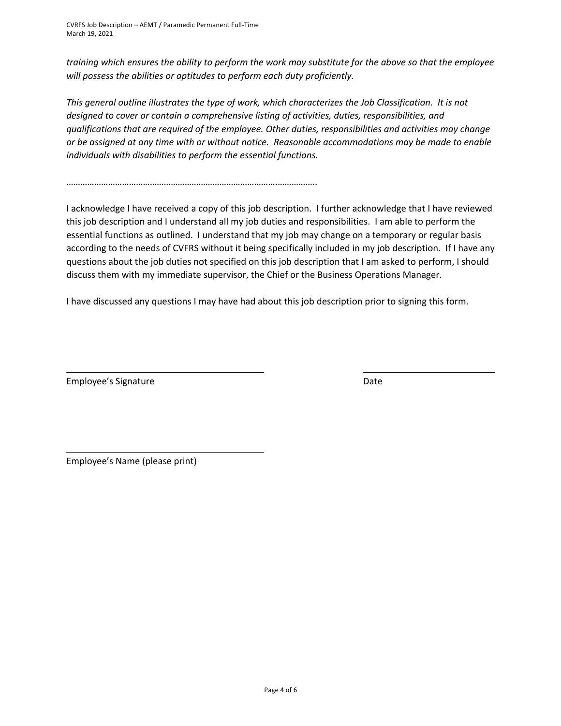CVRFS Job Description – AEMT / Paramedic Permanent Full-Time March 19, 2021

*training which ensures the ability to perform the work may substitute for the above so that the employee will possess the abilities or aptitudes to perform each duty proficiently.*

*This general outline illustrates the type of work, which characterizes the Job Classification. It is not designed to cover or contain a comprehensive listing of activities, duties, responsibilities, and qualifications that are required of the employee. Other duties, responsibilities and activities may change or be assigned at any time with or without notice. Reasonable accommodations may be made to enable individuals with disabilities to perform the essential functions.*

……………………………………………………………………………….……………..

I acknowledge I have received a copy of this job description. I further acknowledge that I have reviewed this job description and I understand all my job duties and responsibilities. I am able to perform the essential functions as outlined. I understand that my job may change on a temporary or regular basis according to the needs of CVFRS without it being specifically included in my job description. If I have any questions about the job duties not specified on this job description that I am asked to perform, I should discuss them with my immediate supervisor, the Chief or the Business Operations Manager.

I have discussed any questions I may have had about this job description prior to signing this form.

Employee's Signature Date Date Date

Employee's Name (please print)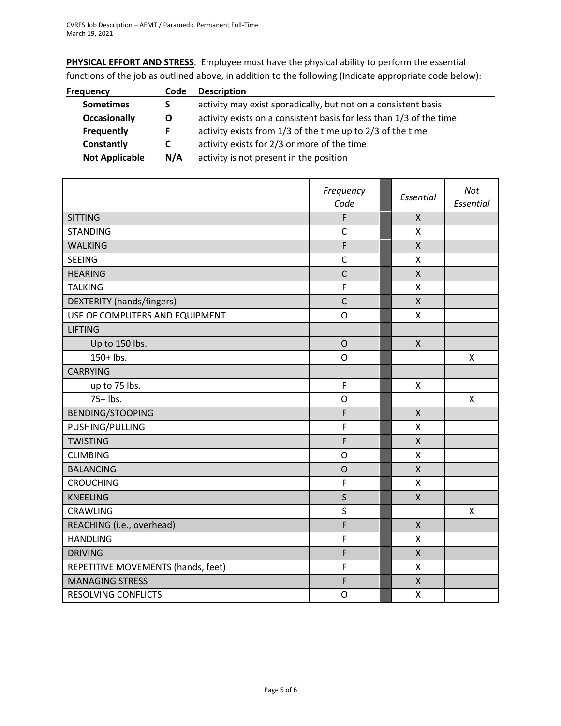**PHYSICAL EFFORT AND STRESS**. Employee must have the physical ability to perform the essential functions of the job as outlined above, in addition to the following (Indicate appropriate code below):

| <b>Frequency</b>      | Code | <b>Description</b>                                                  |
|-----------------------|------|---------------------------------------------------------------------|
| <b>Sometimes</b>      | S.   | activity may exist sporadically, but not on a consistent basis.     |
| <b>Occasionally</b>   | O    | activity exists on a consistent basis for less than 1/3 of the time |
| Frequently            |      | activity exists from 1/3 of the time up to 2/3 of the time          |
| Constantly            | C.   | activity exists for 2/3 or more of the time                         |
| <b>Not Applicable</b> | N/A  | activity is not present in the position                             |

|                                    | Frequency<br>Code | Essential          | Not<br>Essential |
|------------------------------------|-------------------|--------------------|------------------|
| <b>SITTING</b>                     | F                 | $\mathsf{X}$       |                  |
| <b>STANDING</b>                    | $\mathsf{C}$      | X                  |                  |
| <b>WALKING</b>                     | F                 | $\mathsf{X}$       |                  |
| <b>SEEING</b>                      | $\mathsf{C}$      | Χ                  |                  |
| <b>HEARING</b>                     | $\mathsf{C}$      | $\mathsf{X}$       |                  |
| <b>TALKING</b>                     | F                 | X                  |                  |
| DEXTERITY (hands/fingers)          | $\mathsf{C}$      | $\mathsf{x}$       |                  |
| USE OF COMPUTERS AND EQUIPMENT     | O                 | X                  |                  |
| <b>LIFTING</b>                     |                   |                    |                  |
| Up to 150 lbs.                     | $\overline{O}$    | $\mathsf{X}$       |                  |
| 150+ lbs.                          | O                 |                    | X                |
| <b>CARRYING</b>                    |                   |                    |                  |
| up to 75 lbs.                      | $\mathsf F$       | X                  |                  |
| $75+$ lbs.                         | O                 |                    | $\mathsf{x}$     |
| <b>BENDING/STOOPING</b>            | F                 | $\mathsf{X}$       |                  |
| PUSHING/PULLING                    | F                 | X                  |                  |
| <b>TWISTING</b>                    | F                 | $\pmb{\mathsf{X}}$ |                  |
| <b>CLIMBING</b>                    | O                 | X                  |                  |
| <b>BALANCING</b>                   | $\mathsf{O}$      | $\mathsf{X}$       |                  |
| <b>CROUCHING</b>                   | F                 | $\mathsf{x}$       |                  |
| <b>KNEELING</b>                    | $\mathsf{S}$      | $\mathsf{X}$       |                  |
| <b>CRAWLING</b>                    | $\sf S$           |                    | X                |
| REACHING (i.e., overhead)          | F                 | $\mathsf{X}$       |                  |
| <b>HANDLING</b>                    | F                 | X                  |                  |
| <b>DRIVING</b>                     | F                 | $\mathsf{X}$       |                  |
| REPETITIVE MOVEMENTS (hands, feet) | $\mathsf F$       | X                  |                  |
| <b>MANAGING STRESS</b>             | F                 | $\mathsf{X}$       |                  |
| <b>RESOLVING CONFLICTS</b>         | $\mathsf{O}$      | X                  |                  |